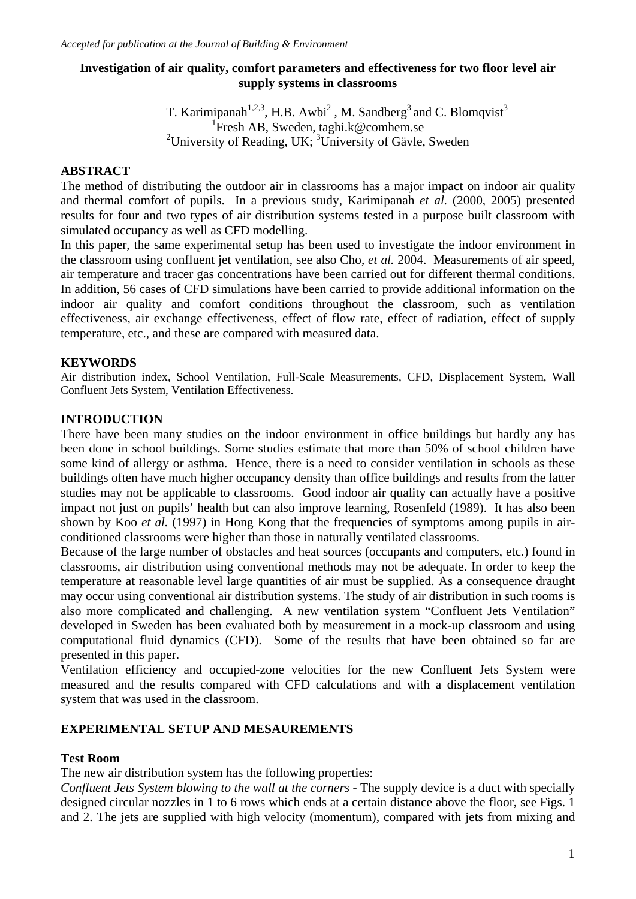#### **Investigation of air quality, comfort parameters and effectiveness for two floor level air supply systems in classrooms**

T. Karimipanah<sup>1,2,3</sup>, H.B. Awbi<sup>2</sup>, M. Sandberg<sup>3</sup> and C. Blomqvist<sup>3</sup> 1 Fresh AB, Sweden, taghi.k@comhem.se <sup>2</sup> University of Reading, UK;  ${}^{3}$  University of Gävle, Sweden

#### **ABSTRACT**

The method of distributing the outdoor air in classrooms has a major impact on indoor air quality and thermal comfort of pupils. In a previous study, Karimipanah *et al.* (2000, 2005) presented results for four and two types of air distribution systems tested in a purpose built classroom with simulated occupancy as well as CFD modelling.

In this paper, the same experimental setup has been used to investigate the indoor environment in the classroom using confluent jet ventilation, see also Cho, *et al.* 2004. Measurements of air speed, air temperature and tracer gas concentrations have been carried out for different thermal conditions. In addition, 56 cases of CFD simulations have been carried to provide additional information on the indoor air quality and comfort conditions throughout the classroom, such as ventilation effectiveness, air exchange effectiveness, effect of flow rate, effect of radiation, effect of supply temperature, etc., and these are compared with measured data.

#### **KEYWORDS**

Air distribution index, School Ventilation, Full-Scale Measurements, CFD, Displacement System, Wall Confluent Jets System, Ventilation Effectiveness.

#### **INTRODUCTION**

There have been many studies on the indoor environment in office buildings but hardly any has been done in school buildings. Some studies estimate that more than 50% of school children have some kind of allergy or asthma. Hence, there is a need to consider ventilation in schools as these buildings often have much higher occupancy density than office buildings and results from the latter studies may not be applicable to classrooms. Good indoor air quality can actually have a positive impact not just on pupils' health but can also improve learning, Rosenfeld (1989). It has also been shown by Koo *et al.* (1997) in Hong Kong that the frequencies of symptoms among pupils in airconditioned classrooms were higher than those in naturally ventilated classrooms.

Because of the large number of obstacles and heat sources (occupants and computers, etc.) found in classrooms, air distribution using conventional methods may not be adequate. In order to keep the temperature at reasonable level large quantities of air must be supplied. As a consequence draught may occur using conventional air distribution systems. The study of air distribution in such rooms is also more complicated and challenging. A new ventilation system "Confluent Jets Ventilation" developed in Sweden has been evaluated both by measurement in a mock-up classroom and using computational fluid dynamics (CFD). Some of the results that have been obtained so far are presented in this paper.

Ventilation efficiency and occupied-zone velocities for the new Confluent Jets System were measured and the results compared with CFD calculations and with a displacement ventilation system that was used in the classroom.

#### **EXPERIMENTAL SETUP AND MESAUREMENTS**

#### **Test Room**

The new air distribution system has the following properties:

*Confluent Jets System blowing to the wall at the corners -* The supply device is a duct with specially designed circular nozzles in 1 to 6 rows which ends at a certain distance above the floor, see Figs. 1 and 2. The jets are supplied with high velocity (momentum), compared with jets from mixing and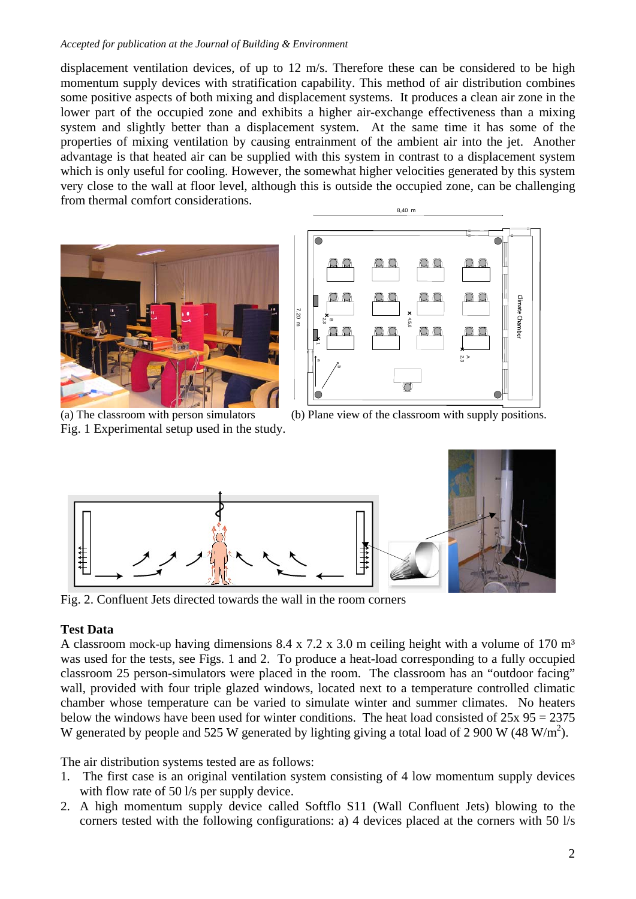#### *Accepted for publication at the Journal of Building & Environment*

displacement ventilation devices, of up to 12 m/s. Therefore these can be considered to be high momentum supply devices with stratification capability. This method of air distribution combines some positive aspects of both mixing and displacement systems. It produces a clean air zone in the lower part of the occupied zone and exhibits a higher air-exchange effectiveness than a mixing system and slightly better than a displacement system. At the same time it has some of the properties of mixing ventilation by causing entrainment of the ambient air into the jet. Another advantage is that heated air can be supplied with this system in contrast to a displacement system which is only useful for cooling. However, the somewhat higher velocities generated by this system very close to the wall at floor level, although this is outside the occupied zone, can be challenging from thermal comfort considerations. 8,40 <sup>m</sup>





Fig. 1 Experimental setup used in the study.

(a) The classroom with person simulators (b) Plane view of the classroom with supply positions.



Fig. 2. Confluent Jets directed towards the wall in the room corners

## **Test Data**

A classroom mock-up having dimensions  $8.4 \times 7.2 \times 3.0$  m ceiling height with a volume of 170 m<sup>3</sup> was used for the tests, see Figs. 1 and 2. To produce a heat-load corresponding to a fully occupied classroom 25 person-simulators were placed in the room. The classroom has an "outdoor facing" wall, provided with four triple glazed windows, located next to a temperature controlled climatic chamber whose temperature can be varied to simulate winter and summer climates. No heaters below the windows have been used for winter conditions. The heat load consisted of  $25x 95 = 2375$ W generated by people and 525 W generated by lighting giving a total load of 2 900 W (48 W/m<sup>2</sup>).

The air distribution systems tested are as follows:

- 1. The first case is an original ventilation system consisting of 4 low momentum supply devices with flow rate of 50 l/s per supply device.
- 2. A high momentum supply device called Softflo S11 (Wall Confluent Jets) blowing to the corners tested with the following configurations: a) 4 devices placed at the corners with 50 l/s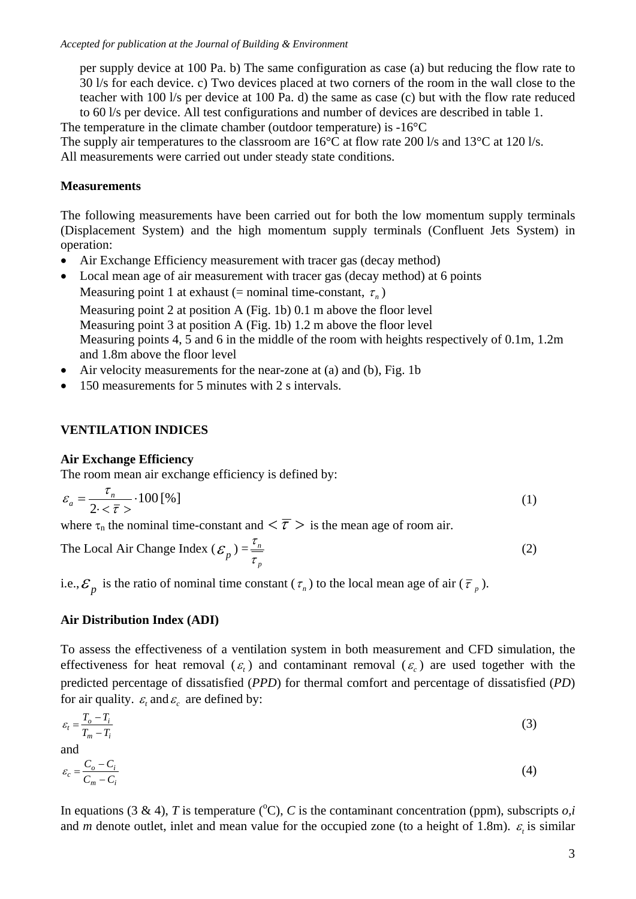per supply device at 100 Pa. b) The same configuration as case (a) but reducing the flow rate to 30 l/s for each device. c) Two devices placed at two corners of the room in the wall close to the teacher with 100 l/s per device at 100 Pa. d) the same as case (c) but with the flow rate reduced to 60 l/s per device. All test configurations and number of devices are described in table 1.

The temperature in the climate chamber (outdoor temperature) is -16°C The supply air temperatures to the classroom are  $16^{\circ}$ C at flow rate 200 l/s and  $13^{\circ}$ C at 120 l/s. All measurements were carried out under steady state conditions.

## **Measurements**

The following measurements have been carried out for both the low momentum supply terminals (Displacement System) and the high momentum supply terminals (Confluent Jets System) in operation:

- Air Exchange Efficiency measurement with tracer gas (decay method)
- Local mean age of air measurement with tracer gas (decay method) at 6 points Measuring point 1 at exhaust (= nominal time-constant,  $\tau_n$ )

Measuring point 2 at position A (Fig. 1b) 0.1 m above the floor level Measuring point 3 at position A (Fig. 1b) 1.2 m above the floor level Measuring points 4, 5 and 6 in the middle of the room with heights respectively of 0.1m, 1.2m and 1.8m above the floor level

- Air velocity measurements for the near-zone at (a) and (b), Fig. 1b
- 150 measurements for 5 minutes with 2 s intervals.

# **VENTILATION INDICES**

#### **Air Exchange Efficiency**

The room mean air exchange efficiency is defined by:

$$
\varepsilon_a = \frac{\tau_n}{2 \cdot \langle \bar{\tau} \rangle} \cdot 100 \, [\%]
$$

where  $\tau_n$  the nominal time-constant and  $\langle \overline{\tau} \rangle$  is the mean age of room air.

The Local Air Change Index 
$$
(\mathcal{E}_p) = \frac{\tau_n}{\tau_p}
$$
 (2)

i.e.,  $\mathcal{E}_p$  is the ratio of nominal time constant  $(\tau_n)$  to the local mean age of air  $(\bar{\tau}_p)$ .

## **Air Distribution Index (ADI)**

To assess the effectiveness of a ventilation system in both measurement and CFD simulation, the effectiveness for heat removal  $(\varepsilon)$  and contaminant removal  $(\varepsilon)$  are used together with the predicted percentage of dissatisfied (*PPD*) for thermal comfort and percentage of dissatisfied (*PD*) for air quality.  $\varepsilon$ , and  $\varepsilon$  are defined by:

$$
\varepsilon_t = \frac{T_o - T_i}{T_m - T_i} \tag{3}
$$

and

$$
\varepsilon_c = \frac{C_o - C_i}{C_m - C_i} \tag{4}
$$

In equations (3 & 4), *T* is temperature ( ${}^{\circ}$ C), *C* is the contaminant concentration (ppm), subscripts *o,i* and *m* denote outlet, inlet and mean value for the occupied zone (to a height of 1.8m).  $\varepsilon$ , is similar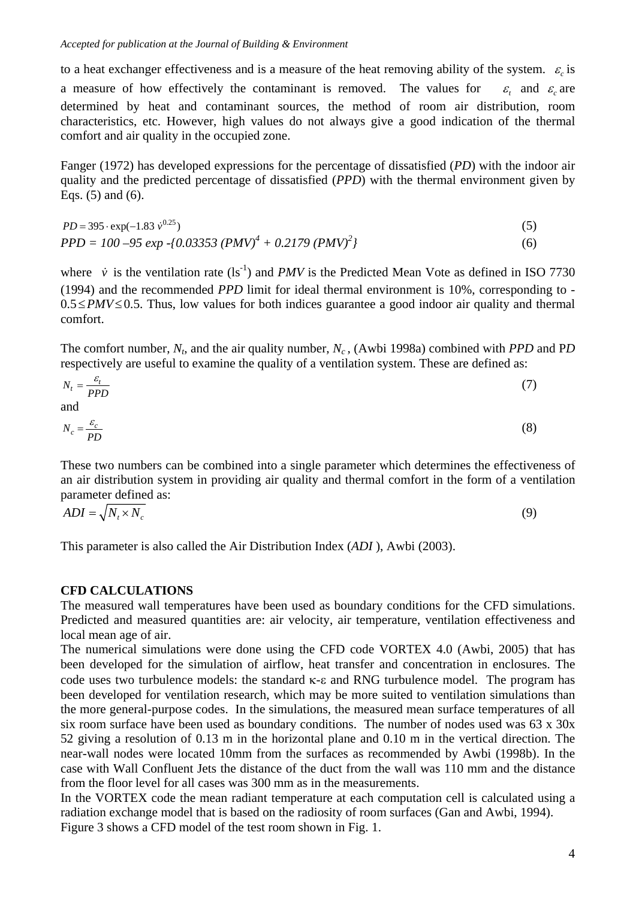to a heat exchanger effectiveness and is a measure of the heat removing ability of the system.  $\varepsilon$  is a measure of how effectively the contaminant is removed. The values for  $\varepsilon$  and  $\varepsilon$  are determined by heat and contaminant sources, the method of room air distribution, room characteristics, etc. However, high values do not always give a good indication of the thermal comfort and air quality in the occupied zone.

Fanger (1972) has developed expressions for the percentage of dissatisfied (*PD*) with the indoor air quality and the predicted percentage of dissatisfied (*PPD*) with the thermal environment given by Eqs. (5) and (6).

$$
PD = 395 \cdot \exp(-1.83 \dot{v}^{0.25})
$$
  
PPD = 100 -95 exp -{0.03353 (PMV)<sup>4</sup> + 0.2179 (PMV)<sup>2</sup>} (6)

where  $\dot{v}$  is the ventilation rate (ls<sup>-1</sup>) and *PMV* is the Predicted Mean Vote as defined in ISO 7730 (1994) and the recommended *PPD* limit for ideal thermal environment is 10%, corresponding to -  $0.5 \le PMV \le 0.5$ . Thus, low values for both indices guarantee a good indoor air quality and thermal comfort.

The comfort number,  $N_t$ , and the air quality number,  $N_c$ , (Awbi 1998a) combined with *PPD* and PD respectively are useful to examine the quality of a ventilation system. These are defined as:

$$
N_t = \frac{\varepsilon_t}{PPD} \tag{7}
$$
 and

$$
N_c = \frac{\varepsilon_c}{PD} \tag{8}
$$

These two numbers can be combined into a single parameter which determines the effectiveness of an air distribution system in providing air quality and thermal comfort in the form of a ventilation parameter defined as:

$$
ADI = \sqrt{N_t \times N_c} \tag{9}
$$

This parameter is also called the Air Distribution Index (*ADI* ), Awbi (2003).

## **CFD CALCULATIONS**

The measured wall temperatures have been used as boundary conditions for the CFD simulations. Predicted and measured quantities are: air velocity, air temperature, ventilation effectiveness and local mean age of air.

The numerical simulations were done using the CFD code VORTEX 4.0 (Awbi, 2005) that has been developed for the simulation of airflow, heat transfer and concentration in enclosures. The code uses two turbulence models: the standard κ-ε and RNG turbulence model. The program has been developed for ventilation research, which may be more suited to ventilation simulations than the more general-purpose codes. In the simulations, the measured mean surface temperatures of all six room surface have been used as boundary conditions. The number of nodes used was 63 x 30x 52 giving a resolution of 0.13 m in the horizontal plane and 0.10 m in the vertical direction. The near-wall nodes were located 10mm from the surfaces as recommended by Awbi (1998b). In the case with Wall Confluent Jets the distance of the duct from the wall was 110 mm and the distance from the floor level for all cases was 300 mm as in the measurements.

In the VORTEX code the mean radiant temperature at each computation cell is calculated using a radiation exchange model that is based on the radiosity of room surfaces (Gan and Awbi, 1994). Figure 3 shows a CFD model of the test room shown in Fig. 1.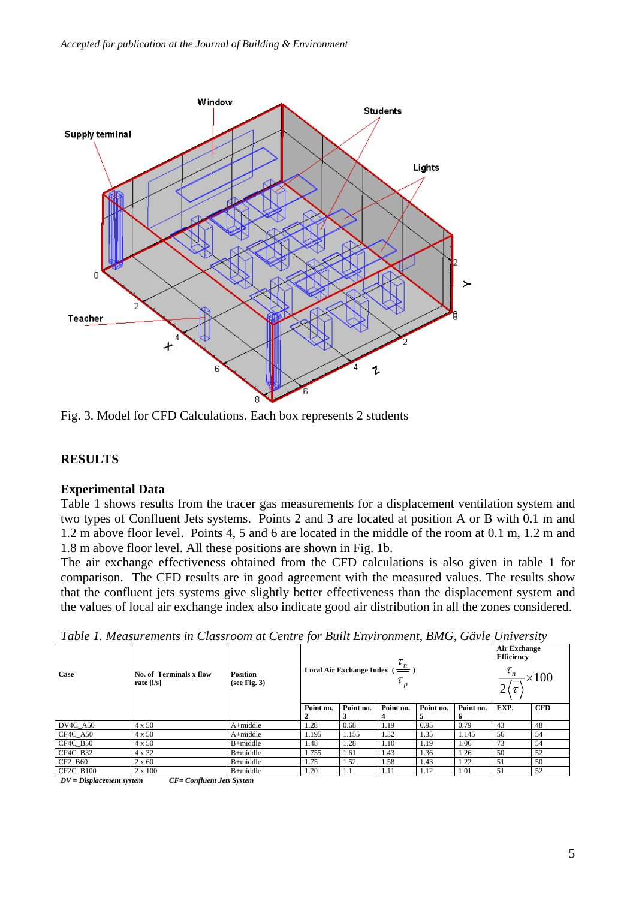

Fig. 3. Model for CFD Calculations. Each box represents 2 students

## **RESULTS**

#### **Experimental Data**

Table 1 shows results from the tracer gas measurements for a displacement ventilation system and two types of Confluent Jets systems. Points 2 and 3 are located at position A or B with 0.1 m and 1.2 m above floor level. Points 4, 5 and 6 are located in the middle of the room at 0.1 m, 1.2 m and 1.8 m above floor level. All these positions are shown in Fig. 1b.

The air exchange effectiveness obtained from the CFD calculations is also given in table 1 for comparison. The CFD results are in good agreement with the measured values. The results show that the confluent jets systems give slightly better effectiveness than the displacement system and the values of local air exchange index also indicate good air distribution in all the zones considered.

| Case             | No. of Terminals x flow<br>rate $[1/s]$ | <b>Position</b><br>(see Fig. 3) | Local Air Exchange Index ( $\frac{\iota_n}{\phantom{\frac{1}{1}}}$ ) |           |           |           |                 | <b>Air Exchange</b><br><b>Efficiency</b><br>$\times 100$ |            |
|------------------|-----------------------------------------|---------------------------------|----------------------------------------------------------------------|-----------|-----------|-----------|-----------------|----------------------------------------------------------|------------|
|                  |                                         |                                 | Point no.<br>2                                                       | Point no. | Point no. | Point no. | Point no.<br>n. | EXP.                                                     | <b>CFD</b> |
| $DV4C_A50$       | $4 \times 50$                           | $A + middle$                    | 1.28                                                                 | 0.68      | 1.19      | 0.95      | 0.79            | 43                                                       | 48         |
| CF4C_A50         | $4 \times 50$                           | $A + middle$                    | 1.195                                                                | 1.155     | 1.32      | 1.35      | 1.145           | 56                                                       | 54         |
| CF4C_B50         | $4 \times 50$                           | $B+middle$                      | 1.48                                                                 | 1.28      | 1.10      | 1.19      | 1.06            | 73                                                       | 54         |
| CF4C_B32         | 4 x 32                                  | $B+middle$                      | 1.755                                                                | 1.61      | 1.43      | 1.36      | 1.26            | 50                                                       | 52         |
| CF2 B60          | $2 \times 60$                           | $B + middle$                    | 1.75                                                                 | 1.52      | 1.58      | 1.43      | 1.22            | 51                                                       | 50         |
| <b>CF2C B100</b> | $2 \times 100$                          | $B+middle$                      | 1.20                                                                 | 1.1       | 1.11      | 1.12      | 1.01            | 51                                                       | 52         |

*Table 1. Measurements in Classroom at Centre for Built Environment, BMG, Gävle University*

*DV = Displacement system CF= Confluent Jets System*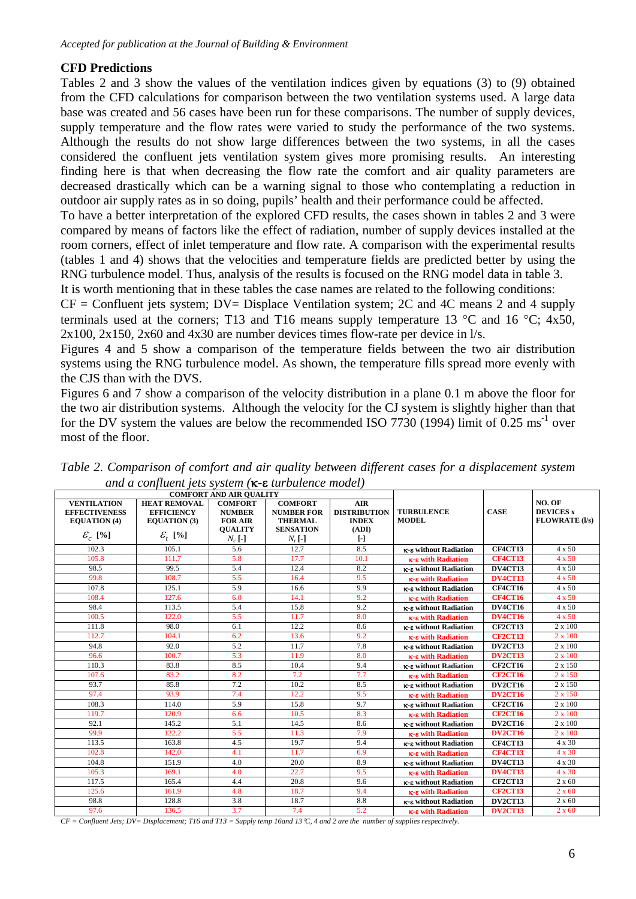## **CFD Predictions**

Tables 2 and 3 show the values of the ventilation indices given by equations (3) to (9) obtained from the CFD calculations for comparison between the two ventilation systems used. A large data base was created and 56 cases have been run for these comparisons. The number of supply devices, supply temperature and the flow rates were varied to study the performance of the two systems. Although the results do not show large differences between the two systems, in all the cases considered the confluent jets ventilation system gives more promising results. An interesting finding here is that when decreasing the flow rate the comfort and air quality parameters are decreased drastically which can be a warning signal to those who contemplating a reduction in outdoor air supply rates as in so doing, pupils' health and their performance could be affected.

To have a better interpretation of the explored CFD results, the cases shown in tables 2 and 3 were compared by means of factors like the effect of radiation, number of supply devices installed at the room corners, effect of inlet temperature and flow rate. A comparison with the experimental results (tables 1 and 4) shows that the velocities and temperature fields are predicted better by using the RNG turbulence model. Thus, analysis of the results is focused on the RNG model data in table 3.

It is worth mentioning that in these tables the case names are related to the following conditions:

 $CF =$  Confluent jets system;  $DV =$  Displace Ventilation system; 2C and 4C means 2 and 4 supply terminals used at the corners; T13 and T16 means supply temperature 13  $^{\circ}$ C and 16  $^{\circ}$ C; 4x50, 2x100, 2x150, 2x60 and 4x30 are number devices times flow-rate per device in l/s.

Figures 4 and 5 show a comparison of the temperature fields between the two air distribution systems using the RNG turbulence model. As shown, the temperature fills spread more evenly with the CJS than with the DVS.

Figures 6 and 7 show a comparison of the velocity distribution in a plane 0.1 m above the floor for the two air distribution systems. Although the velocity for the CJ system is slightly higher than that for the DV system the values are below the recommended ISO 7730 (1994) limit of  $0.25 \text{ ms}^{-1}$  over most of the floor.

|                                                                   | <b>COMFORT AND AIR QUALITY</b>                                  |                                                                     |                                                                           |                                                                                                 |                              |                |                                                     |
|-------------------------------------------------------------------|-----------------------------------------------------------------|---------------------------------------------------------------------|---------------------------------------------------------------------------|-------------------------------------------------------------------------------------------------|------------------------------|----------------|-----------------------------------------------------|
| <b>VENTILATION</b><br><b>EFFECTIVENESS</b><br><b>EQUATION</b> (4) | <b>HEAT REMOVAL</b><br><b>EFFICIENCY</b><br><b>EQUATION</b> (3) | <b>COMFORT</b><br><b>NUMBER</b><br><b>FOR AIR</b><br><b>OUALITY</b> | <b>COMFORT</b><br><b>NUMBER FOR</b><br><b>THERMAL</b><br><b>SENSATION</b> | <b>AIR</b><br><b>DISTRIBUTION</b><br><b>TURBULENCE</b><br><b>MODEL</b><br><b>INDEX</b><br>(ADI) |                              | <b>CASE</b>    | NO. OF<br><b>DEVICES</b> x<br><b>FLOWRATE (I/s)</b> |
| $\mathcal{E}_c$ [%]                                               | $\mathcal{E}_{t}$ [%]                                           | $N_c$ [-]                                                           | $N_t$ [-]                                                                 | $[\cdot]$                                                                                       |                              |                |                                                     |
| 102.3                                                             | 105.1                                                           | 5.6                                                                 | 12.7                                                                      | 8.5                                                                                             | <b>K-E</b> without Radiation | <b>CF4CT13</b> | 4 x 50                                              |
| 105.8                                                             | 111.7                                                           | 5.8                                                                 | 17.7                                                                      | 10.1                                                                                            | <b>K-E</b> with Radiation    | <b>CF4CT13</b> | $4 \times 50$                                       |
| 98.5                                                              | 99.5                                                            | 5.4                                                                 | 12.4                                                                      | 8.2                                                                                             | κ-ε without Radiation        | DV4CT13        | $4 \times 50$                                       |
| 99.8                                                              | 108.7                                                           | 5.5                                                                 | 16.4                                                                      | 9.5                                                                                             | <b>K-E</b> with Radiation    | DV4CT13        | $4 \times 50$                                       |
| 107.8                                                             | 125.1                                                           | 5.9                                                                 | 16.6                                                                      | 9.9                                                                                             | κ-ε without Radiation        | <b>CF4CT16</b> | $4 \times 50$                                       |
| 108.4                                                             | 127.6                                                           | 6.0                                                                 | 14.1                                                                      | 9.2                                                                                             | <b>K-E</b> with Radiation    | <b>CF4CT16</b> | $4 \times 50$                                       |
| 98.4                                                              | 113.5                                                           | 5.4                                                                 | 15.8                                                                      | 9.2                                                                                             | κ-ε without Radiation        | <b>DV4CT16</b> | $4 \times 50$                                       |
| 100.5                                                             | 122.0                                                           | 5.5                                                                 | 11.7                                                                      | 8.0                                                                                             | <b>K-E</b> with Radiation    | <b>DV4CT16</b> | $4 \times 50$                                       |
| 111.8                                                             | 98.0                                                            | 6.1                                                                 | 12.2                                                                      | 8.6                                                                                             | <b>K-E</b> without Radiation | <b>CF2CT13</b> | 2 x 100                                             |
| 112.7                                                             | 104.1                                                           | 6.2                                                                 | 13.6                                                                      | 9.2                                                                                             | <b>K-E</b> with Radiation    | <b>CF2CT13</b> | $2 \times 100$                                      |
| 94.8                                                              | 92.0                                                            | 5.2                                                                 | 11.7                                                                      | 7.8                                                                                             | <b>K-E</b> without Radiation | DV2CT13        | 2 x 100                                             |
| 96.6                                                              | 100.7                                                           | 5.3                                                                 | 11.9                                                                      | 8.0                                                                                             | <b>K-E</b> with Radiation    | DV2CT13        | $2 \times 100$                                      |
| 110.3                                                             | 83.8                                                            | 8.5                                                                 | 10.4                                                                      | 9.4                                                                                             | <b>K-E</b> without Radiation | <b>CF2CT16</b> | 2 x 150                                             |
| 107.6                                                             | 83.2                                                            | 8.2                                                                 | 7.2                                                                       | 7.7                                                                                             | <b>K-E with Radiation</b>    | <b>CF2CT16</b> | $2 \times 150$                                      |
| 93.7                                                              | 85.8                                                            | 7.2                                                                 | 10.2                                                                      | 8.5                                                                                             | κ-ε without Radiation        | DV2CT16        | 2 x 150                                             |
| 97.4                                                              | 93.9                                                            | 7.4                                                                 | 12.2                                                                      | 9.5                                                                                             | <b>K-E</b> with Radiation    | <b>DV2CT16</b> | 2 x 150                                             |
| 108.3                                                             | 114.0                                                           | 5.9                                                                 | 15.8                                                                      | 9.7                                                                                             | κ-ε without Radiation        | <b>CF2CT16</b> | 2 x 100                                             |
| 119.7                                                             | 120.9                                                           | 6.6                                                                 | 10.5                                                                      | 8.3                                                                                             | κ-ε with Radiation           | <b>CF2CT16</b> | $2 \times 100$                                      |
| 92.1                                                              | 145.2                                                           | 5.1                                                                 | 14.5                                                                      | 8.6                                                                                             | <b>K-E</b> without Radiation | DV2CT16        | 2 x 100                                             |
| 99.9                                                              | 122.2                                                           | 5.5                                                                 | 11.3                                                                      | 7.9                                                                                             | <b>K-E</b> with Radiation    | DV2CT16        | $2 \times 100$                                      |
| 113.5                                                             | 163.8                                                           | 4.5                                                                 | 19.7                                                                      | 9.4                                                                                             | κ-ε without Radiation        | <b>CF4CT13</b> | 4 x 30                                              |
| 102.8                                                             | 142.0                                                           | 4.1                                                                 | 11.7                                                                      | 6.9                                                                                             | <b>K-E</b> with Radiation    | <b>CF4CT13</b> | 4 x 30                                              |
| 104.8                                                             | 151.9                                                           | 4.0                                                                 | 20.0                                                                      | 8.9                                                                                             | <b>K-E</b> without Radiation | DV4CT13        | 4 x 30                                              |
| 105.3                                                             | 169.1                                                           | 4.0                                                                 | 22.7                                                                      | 9.5                                                                                             | <b>K-E</b> with Radiation    | DV4CT13        | 4 x 30                                              |
| 117.5                                                             | 165.4                                                           | 4.4                                                                 | 20.8                                                                      | 9.6                                                                                             | <b>K-E</b> without Radiation | <b>CF2CT13</b> | $2 \times 60$                                       |
| 125.6                                                             | 161.9                                                           | 4.8                                                                 | 18.7                                                                      | 9.4                                                                                             | <b>K-E</b> with Radiation    | <b>CF2CT13</b> | $2 \times 60$                                       |
| 98.8                                                              | 128.8                                                           | 3.8                                                                 | 18.7                                                                      | 8.8                                                                                             | κ-ε without Radiation        | DV2CT13        | $2 \times 60$                                       |
| 97.6                                                              | 136.5                                                           | 3.7                                                                 | 7.4                                                                       | 5.2                                                                                             | <b>K-8</b> with Radiation    | DV2CT13        | $2 \times 60$                                       |

*Table 2. Comparison of comfort and air quality between different cases for a displacement system and a confluent jets system (*κ**-**ε *turbulence model)* 

*CF = Confluent Jets; DV= Displacement; T16 and T13 = Supply temp 16and 13*°*C, 4 and 2 are the number of supplies respectively.*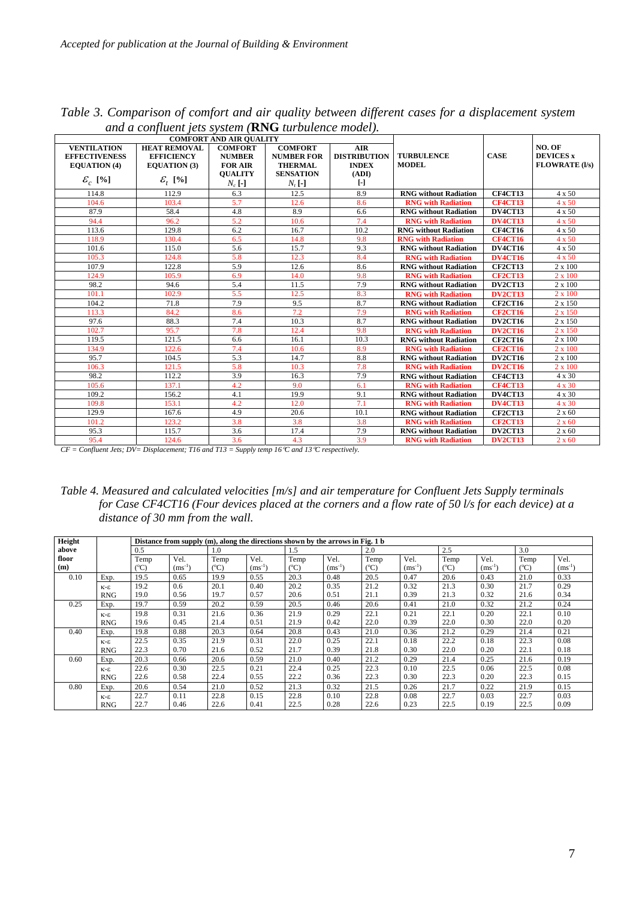|                       | and a complete jets system (KFO implicited model).<br><b>COMFORT AND AIR OUALITY</b> |                                  |                   |                     |                              |                |                       |
|-----------------------|--------------------------------------------------------------------------------------|----------------------------------|-------------------|---------------------|------------------------------|----------------|-----------------------|
|                       |                                                                                      |                                  |                   |                     |                              |                |                       |
| <b>VENTILATION</b>    | <b>HEAT REMOVAL</b>                                                                  | <b>COMFORT</b><br><b>COMFORT</b> |                   | <b>AIR</b>          |                              |                | NO. OF                |
| <b>EFFECTIVENESS</b>  | <b>EFFICIENCY</b>                                                                    | <b>NUMBER</b>                    | <b>NUMBER FOR</b> | <b>DISTRIBUTION</b> | <b>TURBULENCE</b>            | <b>CASE</b>    | <b>DEVICES</b> x      |
| <b>EQUATION</b> (4)   | <b>EQUATION</b> (3)                                                                  | <b>FOR AIR</b>                   | <b>THERMAL</b>    | <b>INDEX</b>        | <b>MODEL</b>                 |                | <b>FLOWRATE (I/s)</b> |
|                       |                                                                                      | <b>OUALITY</b>                   | <b>SENSATION</b>  | (ADI)               |                              |                |                       |
| $\mathcal{E}_{c}$ [%] | $\mathcal{E}_{t}$ [%]<br>$N_c$ [-]                                                   |                                  | $N_t$ [-]         | $\lbrack - \rbrack$ |                              |                |                       |
| 114.8                 | 112.9                                                                                | 6.3                              | 12.5              | 8.9                 | <b>RNG</b> without Radiation | <b>CF4CT13</b> | 4 x 50                |
| 104.6                 | 103.4                                                                                | 5.7                              | 12.6              | 8.6                 | <b>RNG with Radiation</b>    | <b>CF4CT13</b> | $4 \times 50$         |
| 87.9                  | 58.4                                                                                 | 4.8                              | 8.9               | 6.6                 | <b>RNG</b> without Radiation | DV4CT13        | 4 x 50                |
| 94.4                  | 96.2                                                                                 | 5.2                              | 10.6              | 7.4                 | <b>RNG with Radiation</b>    | <b>DV4CT13</b> | $4 \times 50$         |
| 113.6                 | 129.8                                                                                | 6.2                              | 16.7              | 10.2                | <b>RNG</b> without Radiation | <b>CF4CT16</b> | 4 x 50                |
| 118.9                 | 130.4                                                                                | 6.5                              | 14.8              | 9.8                 | <b>RNG with Radiation</b>    | <b>CF4CT16</b> | 4 x 50                |
| 101.6                 | 115.0                                                                                | 5.6                              | 15.7              | 9.3                 | <b>RNG without Radiation</b> | DV4CT16        | 4 x 50                |
| 105.3                 | 124.8                                                                                | 5.8                              | 12.3              | 8.4                 | <b>RNG with Radiation</b>    | <b>DV4CT16</b> | $4 \times 50$         |
| 107.9                 | 122.8                                                                                | 5.9                              | 12.6              | 8.6                 | <b>RNG</b> without Radiation | <b>CF2CT13</b> | $2 \times 100$        |
| 124.9                 | 105.9                                                                                | 6.9                              | 14.0              | 9.8                 | <b>RNG with Radiation</b>    | <b>CF2CT13</b> | $2 \times 100$        |
| 98.2                  | 94.6                                                                                 | 5.4                              | 11.5              | 7.9                 | <b>RNG</b> without Radiation | DV2CT13        | 2 x 100               |
| 101.1                 | 102.9                                                                                | 5.5                              | 12.5              | 8.3                 | <b>RNG</b> with Radiation    | DV2CT13        | $2 \times 100$        |
| 104.2                 | 71.8                                                                                 | 7.9                              | 9.5               | 8.7                 | <b>RNG</b> without Radiation | <b>CF2CT16</b> | 2 x 150               |
| 113.3                 | 84.2                                                                                 | 8.6                              | 7.2               | 7.9                 | <b>RNG with Radiation</b>    | <b>CF2CT16</b> | 2 x 150               |
| 97.6                  | 88.3                                                                                 | 7.4                              | 10.3              | 8.7                 | <b>RNG</b> without Radiation | <b>DV2CT16</b> | 2 x 150               |
| 102.7                 | 95.7                                                                                 | 7.8                              | 12.4              | 9.8                 | <b>RNG with Radiation</b>    | <b>DV2CT16</b> | 2 x 150               |
| 119.5                 | 121.5                                                                                | 6.6                              | 16.1              | 10.3                | <b>RNG</b> without Radiation | <b>CF2CT16</b> | 2 x 100               |
| 134.9                 | 122.6                                                                                | 7.4                              | 10.6              | 8.9                 | <b>RNG with Radiation</b>    | <b>CF2CT16</b> | $2 \times 100$        |
| 95.7                  | 104.5                                                                                | 5.3                              | 14.7              | 8.8                 | <b>RNG</b> without Radiation | DV2CT16        | $2 \times 100$        |
| 106.3                 | 121.5                                                                                | 5.8                              | 10.3              | 7.8                 | <b>RNG with Radiation</b>    | <b>DV2CT16</b> | $2 \times 100$        |
| 98.2                  | 112.2                                                                                | 3.9                              | 16.3              | 7.9                 | <b>RNG</b> without Radiation | <b>CF4CT13</b> | 4 x 30                |
| 105.6                 | 137.1                                                                                | 4.2                              | 9.0               | 6.1                 | <b>RNG with Radiation</b>    | <b>CF4CT13</b> | 4 x 30                |
| 109.2                 | 156.2                                                                                | 4.1                              | 19.9              | 9.1                 | <b>RNG</b> without Radiation | DV4CT13        | 4 x 30                |
| 109.8                 | 153.1                                                                                | 4.2                              | 12.0              | 7.1                 | <b>RNG with Radiation</b>    | DV4CT13        | 4 x 30                |
| 129.9                 | 167.6                                                                                | 4.9                              | 20.6              | 10.1                | <b>RNG without Radiation</b> | <b>CF2CT13</b> | $2 \times 60$         |
| 101.2                 | 123.2                                                                                | 3.8                              | 3.8               | 3.8                 | <b>RNG with Radiation</b>    | <b>CF2CT13</b> | $2 \times 60$         |
| 95.3                  | 115.7                                                                                | 3.6                              | 17.4              | 7.9                 | <b>RNG without Radiation</b> | DV2CT13        | $2 \times 60$         |
| 95.4                  | 124.6                                                                                | 3.6                              | 4.3               | 3.9                 | <b>RNG with Radiation</b>    | DV2CT13        | $2 \times 60$         |

*Table 3. Comparison of comfort and air quality between different cases for a displacement system and a confluent jets system (***RNG** *turbulence model).* 

*CF = Confluent Jets; DV= Displacement; T16 and T13 = Supply temp 16*°*C and 13*°*C respectively.* 

*Table 4. Measured and calculated velocities [m/s] and air temperature for Confluent Jets Supply terminals for Case CF4CT16 (Four devices placed at the corners and a flow rate of 50 l/s for each device) at a distance of 30 mm from the wall.* 

| Height | Distance from supply (m), along the directions shown by the arrows in Fig. 1 b |               |             |                 |             |                             |             |               |             |               |             |               |             |  |
|--------|--------------------------------------------------------------------------------|---------------|-------------|-----------------|-------------|-----------------------------|-------------|---------------|-------------|---------------|-------------|---------------|-------------|--|
| above  |                                                                                | 0.5           |             | 1.0             |             |                             | 1.5         |               | 2.0         |               | 2.5         |               | 3.0         |  |
| floor  |                                                                                | Temp          | Vel.        | Temp            | Vel.        | Temp                        | Vel.        | Temp          | Vel.        | Temp          | Vel.        | Temp          | Vel.        |  |
| (m)    |                                                                                | $(^{\circ}C)$ | $(ms^{-1})$ | $({}^{\circ}C)$ | $(ms^{-1})$ | $(^{\mathrm{o}}\mathrm{C})$ | $(ms^{-1})$ | $(^{\circ}C)$ | $(ms^{-1})$ | $(^{\circ}C)$ | $(ms^{-1})$ | $(^{\circ}C)$ | $(ms^{-1})$ |  |
| 0.10   | Exp.                                                                           | 19.5          | 0.65        | 19.9            | 0.55        | 20.3                        | 0.48        | 20.5          | 0.47        | 20.6          | 0.43        | 21.0          | 0.33        |  |
|        | $K-E$                                                                          | 19.2          | 0.6         | 20.1            | 0.40        | 20.2                        | 0.35        | 21.2          | 0.32        | 21.3          | 0.30        | 21.7          | 0.29        |  |
|        | <b>RNG</b>                                                                     | 19.0          | 0.56        | 19.7            | 0.57        | 20.6                        | 0.51        | 21.1          | 0.39        | 21.3          | 0.32        | 21.6          | 0.34        |  |
| 0.25   | Exp.                                                                           | 19.7          | 0.59        | 20.2            | 0.59        | 20.5                        | 0.46        | 20.6          | 0.41        | 21.0          | 0.32        | 21.2          | 0.24        |  |
|        | $K-E$                                                                          | 19.8          | 0.31        | 21.6            | 0.36        | 21.9                        | 0.29        | 22.1          | 0.21        | 22.1          | 0.20        | 22.1          | 0.10        |  |
|        | <b>RNG</b>                                                                     | 19.6          | 0.45        | 21.4            | 0.51        | 21.9                        | 0.42        | 22.0          | 0.39        | 22.0          | 0.30        | 22.0          | 0.20        |  |
| 0.40   | Exp.                                                                           | 19.8          | 0.88        | 20.3            | 0.64        | 20.8                        | 0.43        | 21.0          | 0.36        | 21.2          | 0.29        | 21.4          | 0.21        |  |
|        | $K-E$                                                                          | 22.5          | 0.35        | 21.9            | 0.31        | 22.0                        | 0.25        | 22.1          | 0.18        | 22.2          | 0.18        | 22.3          | 0.08        |  |
|        | <b>RNG</b>                                                                     | 22.3          | 0.70        | 21.6            | 0.52        | 21.7                        | 0.39        | 21.8          | 0.30        | 22.0          | 0.20        | 22.1          | 0.18        |  |
| 0.60   | Exp.                                                                           | 20.3          | 0.66        | 20.6            | 0.59        | 21.0                        | 0.40        | 21.2          | 0.29        | 21.4          | 0.25        | 21.6          | 0.19        |  |
|        | $K-E$                                                                          | 22.6          | 0.30        | 22.5            | 0.21        | 22.4                        | 0.25        | 22.3          | 0.10        | 22.5          | 0.06        | 22.5          | 0.08        |  |
|        | <b>RNG</b>                                                                     | 22.6          | 0.58        | 22.4            | 0.55        | 22.2                        | 0.36        | 22.3          | 0.30        | 22.3          | 0.20        | 22.3          | 0.15        |  |
| 0.80   | Exp.                                                                           | 20.6          | 0.54        | 21.0            | 0.52        | 21.3                        | 0.32        | 21.5          | 0.26        | 21.7          | 0.22        | 21.9          | 0.15        |  |
|        | $K-E$                                                                          | 22.7          | 0.11        | 22.8            | 0.15        | 22.8                        | 0.10        | 22.8          | 0.08        | 22.7          | 0.03        | 22.7          | 0.03        |  |
|        | <b>RNG</b>                                                                     | 22.7          | 0.46        | 22.6            | 0.41        | 22.5                        | 0.28        | 22.6          | 0.23        | 22.5          | 0.19        | 22.5          | 0.09        |  |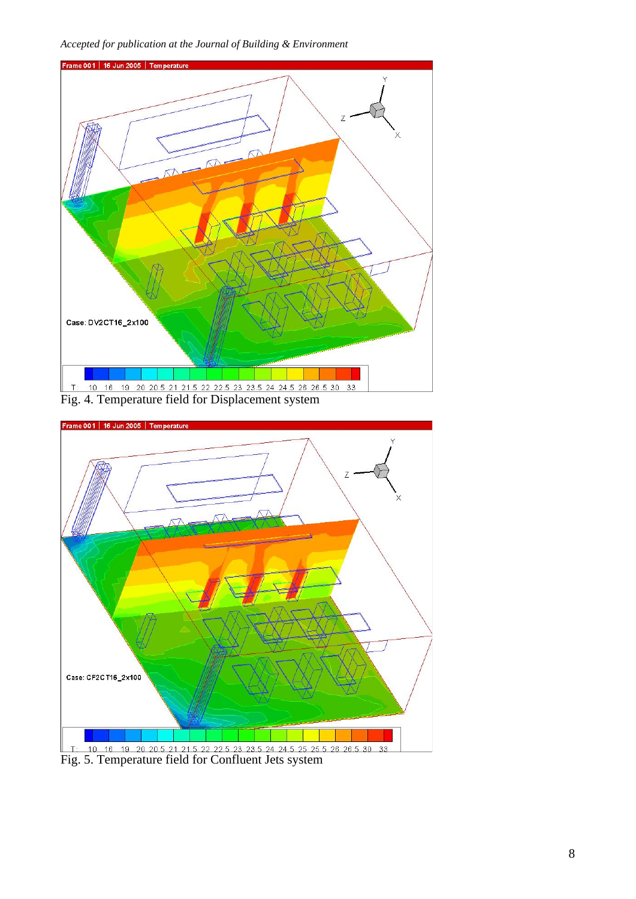*Accepted for publication at the Journal of Building & Environment* 



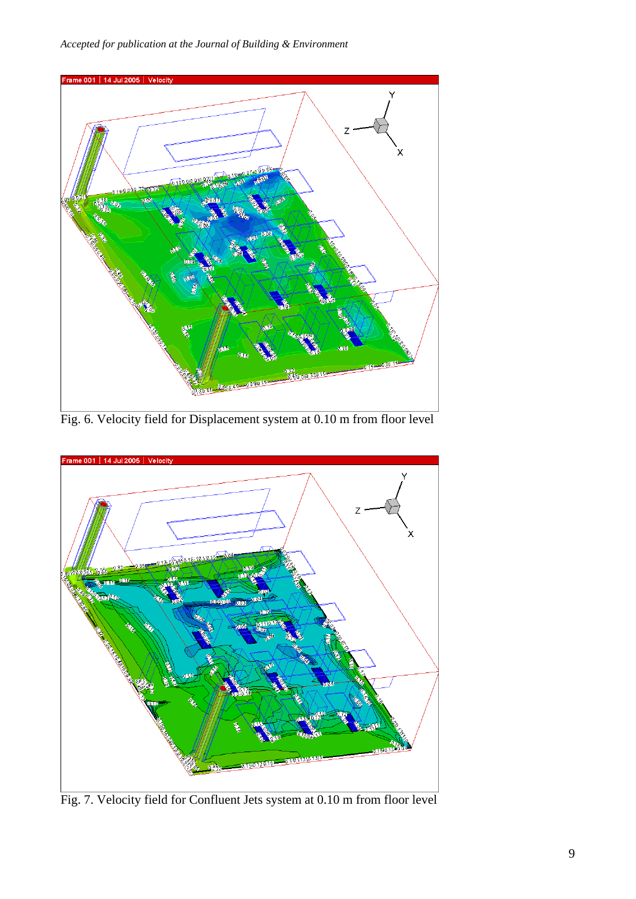*Accepted for publication at the Journal of Building & Environment* 



Fig. 6. Velocity field for Displacement system at 0.10 m from floor level



Fig. 7. Velocity field for Confluent Jets system at 0.10 m from floor level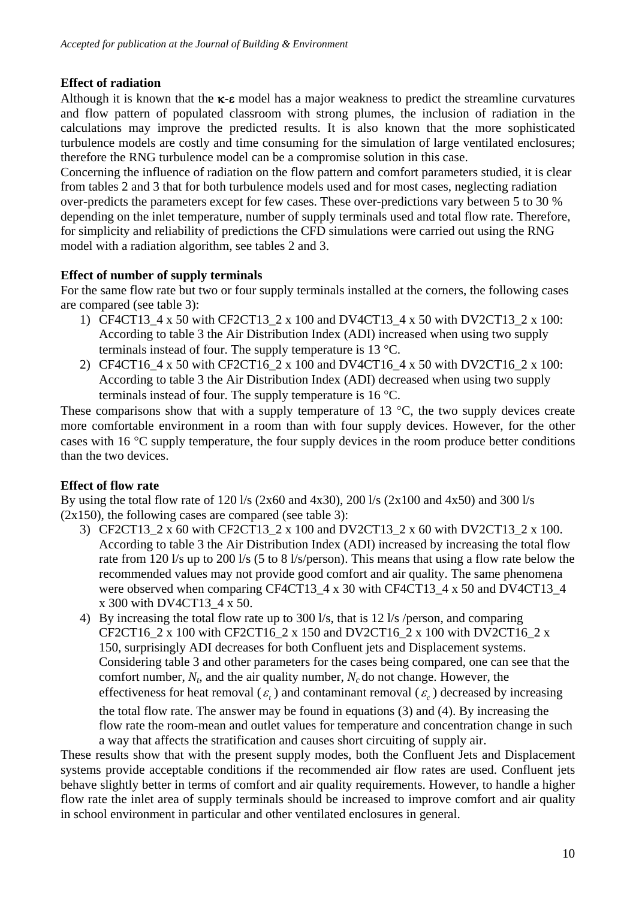# **Effect of radiation**

Although it is known that the κ**-**ε model has a major weakness to predict the streamline curvatures and flow pattern of populated classroom with strong plumes, the inclusion of radiation in the calculations may improve the predicted results. It is also known that the more sophisticated turbulence models are costly and time consuming for the simulation of large ventilated enclosures; therefore the RNG turbulence model can be a compromise solution in this case.

Concerning the influence of radiation on the flow pattern and comfort parameters studied, it is clear from tables 2 and 3 that for both turbulence models used and for most cases, neglecting radiation over-predicts the parameters except for few cases. These over-predictions vary between 5 to 30 % depending on the inlet temperature, number of supply terminals used and total flow rate. Therefore, for simplicity and reliability of predictions the CFD simulations were carried out using the RNG model with a radiation algorithm, see tables 2 and 3.

# **Effect of number of supply terminals**

For the same flow rate but two or four supply terminals installed at the corners, the following cases are compared (see table 3):

- 1) CF4CT13\_4 x 50 with CF2CT13\_2 x 100 and DV4CT13\_4 x 50 with DV2CT13\_2 x 100: According to table 3 the Air Distribution Index (ADI) increased when using two supply terminals instead of four. The supply temperature is 13 °C.
- 2) CF4CT16  $4 \times 50$  with CF2CT16  $2 \times 100$  and DV4CT16  $4 \times 50$  with DV2CT16  $2 \times 100$ : According to table 3 the Air Distribution Index (ADI) decreased when using two supply terminals instead of four. The supply temperature is 16 °C.

These comparisons show that with a supply temperature of 13  $^{\circ}$ C, the two supply devices create more comfortable environment in a room than with four supply devices. However, for the other cases with 16 °C supply temperature, the four supply devices in the room produce better conditions than the two devices.

## **Effect of flow rate**

By using the total flow rate of 120 l/s (2x60 and 4x30), 200 l/s (2x100 and 4x50) and 300 l/s  $(2x150)$ , the following cases are compared (see table 3):

- 3) CF2CT13 2 x 60 with CF2CT13 2 x 100 and DV2CT13 2 x 60 with DV2CT13 2 x 100. According to table 3 the Air Distribution Index (ADI) increased by increasing the total flow rate from 120 l/s up to 200 l/s (5 to 8 l/s/person). This means that using a flow rate below the recommended values may not provide good comfort and air quality. The same phenomena were observed when comparing CF4CT13\_4 x 30 with CF4CT13\_4 x 50 and DV4CT13\_4 x 300 with DV4CT13\_4 x 50.
- 4) By increasing the total flow rate up to 300 l/s, that is 12 l/s /person, and comparing CF2CT16\_2 x 100 with CF2CT16\_2 x 150 and DV2CT16\_2 x 100 with DV2CT16\_2 x 150, surprisingly ADI decreases for both Confluent jets and Displacement systems. Considering table 3 and other parameters for the cases being compared, one can see that the comfort number,  $N_t$ , and the air quality number,  $N_c$  do not change. However, the effectiveness for heat removal ( $\varepsilon$ ) and contaminant removal ( $\varepsilon$ ) decreased by increasing the total flow rate. The answer may be found in equations (3) and (4). By increasing the flow rate the room-mean and outlet values for temperature and concentration change in such a way that affects the stratification and causes short circuiting of supply air.

These results show that with the present supply modes, both the Confluent Jets and Displacement systems provide acceptable conditions if the recommended air flow rates are used. Confluent jets behave slightly better in terms of comfort and air quality requirements. However, to handle a higher flow rate the inlet area of supply terminals should be increased to improve comfort and air quality in school environment in particular and other ventilated enclosures in general.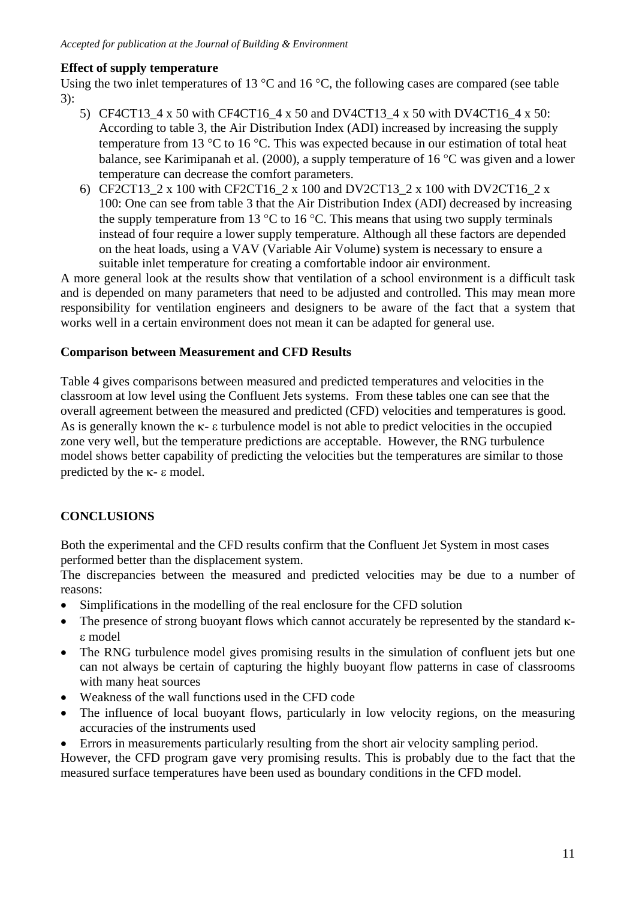## **Effect of supply temperature**

Using the two inlet temperatures of 13 °C and 16 °C, the following cases are compared (see table 3):

- 5) CF4CT13  $4 \times 50$  with CF4CT16  $4 \times 50$  and DV4CT13  $4 \times 50$  with DV4CT16  $4 \times 50$ : According to table 3, the Air Distribution Index (ADI) increased by increasing the supply temperature from 13 °C to 16 °C. This was expected because in our estimation of total heat balance, see Karimipanah et al. (2000), a supply temperature of 16 °C was given and a lower temperature can decrease the comfort parameters.
- 6) CF2CT13\_2 x 100 with CF2CT16\_2 x 100 and DV2CT13\_2 x 100 with DV2CT16\_2 x 100: One can see from table 3 that the Air Distribution Index (ADI) decreased by increasing the supply temperature from 13  $\degree$ C to 16  $\degree$ C. This means that using two supply terminals instead of four require a lower supply temperature. Although all these factors are depended on the heat loads, using a VAV (Variable Air Volume) system is necessary to ensure a suitable inlet temperature for creating a comfortable indoor air environment.

A more general look at the results show that ventilation of a school environment is a difficult task and is depended on many parameters that need to be adjusted and controlled. This may mean more responsibility for ventilation engineers and designers to be aware of the fact that a system that works well in a certain environment does not mean it can be adapted for general use.

#### **Comparison between Measurement and CFD Results**

Table 4 gives comparisons between measured and predicted temperatures and velocities in the classroom at low level using the Confluent Jets systems. From these tables one can see that the overall agreement between the measured and predicted (CFD) velocities and temperatures is good. As is generally known the κ- ε turbulence model is not able to predict velocities in the occupied zone very well, but the temperature predictions are acceptable. However, the RNG turbulence model shows better capability of predicting the velocities but the temperatures are similar to those predicted by the κ- ε model.

## **CONCLUSIONS**

Both the experimental and the CFD results confirm that the Confluent Jet System in most cases performed better than the displacement system.

The discrepancies between the measured and predicted velocities may be due to a number of reasons:

- Simplifications in the modelling of the real enclosure for the CFD solution
- The presence of strong buoyant flows which cannot accurately be represented by the standard κε model
- The RNG turbulence model gives promising results in the simulation of confluent jets but one can not always be certain of capturing the highly buoyant flow patterns in case of classrooms with many heat sources
- Weakness of the wall functions used in the CFD code
- The influence of local buoyant flows, particularly in low velocity regions, on the measuring accuracies of the instruments used
- Errors in measurements particularly resulting from the short air velocity sampling period.

However, the CFD program gave very promising results. This is probably due to the fact that the measured surface temperatures have been used as boundary conditions in the CFD model.